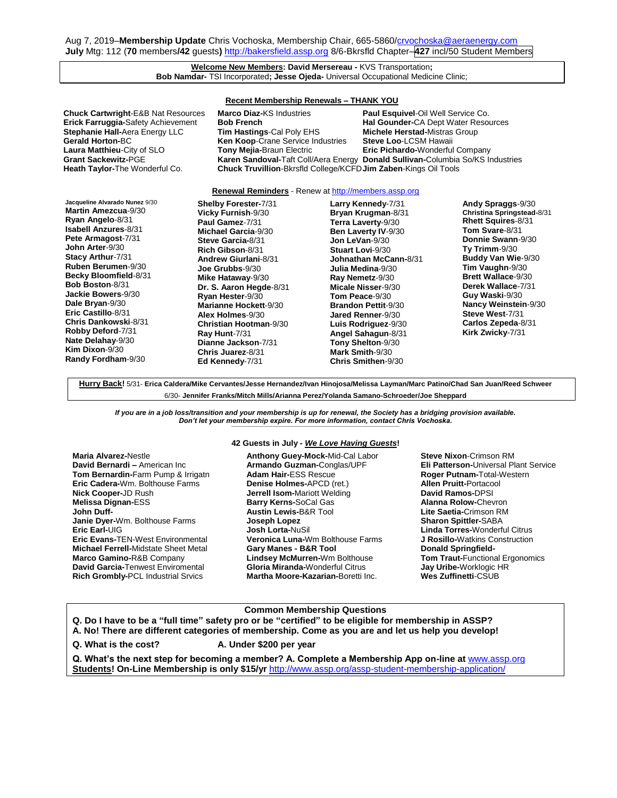Aug 7, 2019-Membership Update Chris Vochoska, Membership Chair, 665-5860[/crvochoska@aeraenergy.com](mailto:crvochoska@aeraenergy.com) **July** Mtg: 112 (**70** members**/42** guests**)** [http://bakersfield.assp.org](http://bakersfield.assp.org/) 8/6-Bkrsfld Chapter–**427** incl/50 Student Members

### **Welcome New Members: David Mersereau -** KVS Transportation**; Bob Namdar-** TSI Incorporated**; Jesse Ojeda-** Universal Occupational Medicine Clinic;

**Recent Membership Renewals – THANK YOU Chuck Cartwright**-E&B Nat Resources **Marco Diaz-**KS Industries **Paul Esquivel**-Oil Well Service Co. **Erick Farruggia-**Safety Achievement **Bob French Hal Gounder-CA Dept Water Resources**<br> **Stephanie Hall-Aera Energy LLC Tim Hastings-Cal Poly EHS** Michele Herstad-Mistras Group **Stephanie Hall-**Aera Energy LLC **Tim Hastings**-Cal Poly EHS **Michele Herstad-**Mistras Group **Gerald Horton-**BC **Ken Koop**-Crane Service Industries **Steve Loo**-LCSM Hawaii **Laura Matthieu**-City of SLO **Tony Mejia-**Braun Electric **Eric Pichardo-**Wonderful Company **Grant Sackewitz-PGE <b>Karen Sandoval-**Taft Coll/Aera Energy **Donald Sullivan-Columbia So/KS Industries**<br>**Heath Taylor-**The Wonderful Co. **Chuck Truvillion-**Bkrsfld College/KCFD **Jim Zaben-**Kings Oil Tools **Chuck Truvillion-Bkrsfld College/KCFD Jim Zaben-Kings Oil Tools** 

# **Renewal Reminders** - Renew at **http://members.assp.org**

**Jacqueline Alvarado Nunez** 9/30 **Martin Amezcua**-9/30 **Ryan Angelo**-8/31 **Isabell Anzures**-8/31 **Pete Armagost**-7/31 **John Arter**-9/30 **Stacy Arthur**-7/31 **Ruben Berumen**-9/30 **Becky Bloomfield**-8/31 **Bob Boston**-8/31 **Jackie Bowers**-9/30 **Dale Bryan**-9/30 **Eric Castillo**-8/31 **Chris Dankowski**-8/31 **Robby Deford**-7/31 **Nate Delahay**-9/30 **Kim Dixon**-9/30 **Randy Fordham**-9/30

**Shelby Forester-**7/31 **Vicky Furnish**-9/30 **Paul Gamez**-7/31 **Michael Garcia**-9/30 **Steve Garcia-**8/31 **Rich Gibson**-8/31 **Andrew Giurlani**-8/31 **Joe Grubbs**-9/30 **Mike Hataway**-9/30 **Dr. S. Aaron Hegde**-8/31 **Ryan Hester**-9/30 **Marianne Hockett**-9/30 **Alex Holmes**-9/30 **Christian Hootman**-9/30 **Ray Hunt**-7/31 **Dianne Jackson**-7/31 **Chris Juarez**-8/31 **Ed Kennedy**-7/31

**Larry Kennedy**-7/31 **Bryan Krugman**-8/31 **Terra Laverty**-9/30 **Ben Laverty IV**-9/30 **Jon LeVan**-9/30 **Stuart Lovi**-9/30 **Johnathan McCann-**8/31 **Julia Medina**-9/30 **Ray Nemetz**-9/30 **Micale Nisser**-9/30 **Tom Peace**-9/30 **Brandon Pettit**-9/30 **Jared Renner**-9/30 **Luis Rodriguez**-9/30 **Angel Sahagun**-8/31 **Tony Shelton**-9/30 **Mark Smith**-9/30 **Chris Smithen**-9/30

**Andy Spraggs**-9/30 **Christina Springstead-**8/31 **Rhett Squires**-8/31 **Tom Svare**-8/31 **Donnie Swann**-9/30 **Ty Trimm**-9/30 **Buddy Van Wie**-9/30 **Tim Vaughn**-9/30 **Brett Wallace**-9/30 **Derek Wallace**-7/31 **Guy Waski**-9/30 **Nancy Weinstein**-9/30 **Steve West**-7/31 **Carlos Zepeda**-8/31 **Kirk Zwicky**-7/31

**Hurry Back!** 5/31- **Erica Caldera/Mike Cervantes/Jesse Hernandez/Ivan Hinojosa/Melissa Layman/Marc Patino/Chad San Juan/Reed Schweer** 6/30- **Jennifer Franks/Mitch Mills/Arianna Perez/Yolanda Samano-Schroeder/Joe Sheppard**

*If you are in a job loss/transition and your membership is up for renewal, the Society has a bridging provision available. Don't let your membership expire. For more information, contact Chris Vochoska.*  **-----------------------------------------------------------------------------------------------------------------------------------------------------------------------**

### **Maria Alvarez-**Nestle **David Bernardi –** American Inc **Tom Bernardin-**Farm Pump & Irrigatn **Eric Cadera-**Wm. Bolthouse Farms **Nick Cooper-**JD Rush **Melissa Dignan-**ESS **John Duff-Janie Dyer-**Wm. Bolthouse Farms **Eric Earl-**UIG **Eric Evans-**TEN-West Environmental **Michael Ferrell-**Midstate Sheet Metal **Marco Gamino-**R&B Company **David Garcia-**Tenwest Enviromental **Rich Grombly-**PCL Industrial Srvics

### **42 Guests in July -** *We Love Having Guests***!**

**Anthony Guey-Mock-**Mid-Cal Labor **Armando Guzman-**Conglas/UPF **Adam Hair-**ESS Rescue **Denise Holmes-**APCD (ret.) **Jerrell Isom-**Mariott Welding **Barry Kerns-**SoCal Gas **Austin Lewis-**B&R Tool **Joseph Lopez Josh Lorta-**NuSil **Veronica Luna-**Wm Bolthouse Farms **Gary Manes - B&R Tool Lindsey McMurren-**Wm Bolthouse **Gloria Miranda-**Wonderful Citrus **Martha Moore-Kazarian-**Boretti Inc.

**Steve Nixon**-Crimson RM **Eli Patterson-**Universal Plant Service **Roger Putnam-**Total-Western **Allen Pruitt-**Portacool **David Ramos-**DPSI **Alanna Rolow-**Chevron **Lite Saetia-**Crimson RM **Sharon Spittler-**SABA **Linda Torres-**Wonderful Citrus **J Rosillo-**Watkins Construction **Donald Springfield-Tom Traut-**Functional Ergonomics **Jay Uribe-**Worklogic HR **Wes Zuffinetti**-CSUB

## **Common Membership Questions**

**Q. Do I have to be a "full time" safety pro or be "certified" to be eligible for membership in ASSP?** 

**A. No! There are different categories of membership. Come as you are and let us help you develop!**

**Q. What is the cost? A. Under \$200 per year**

**Q. What's the next step for becoming a member? A. Complete a Membership App on-line at** [www.assp.org](http://www.assp.org/) **Students! On-Line Membership is only \$15/yr** <http://www.assp.org/assp-student-membership-application/>